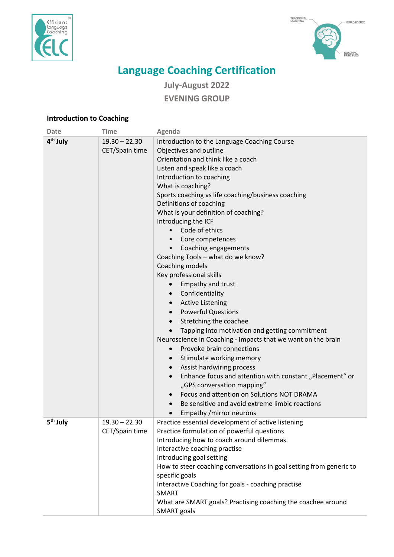



## **Language Coaching Certification**

**July-August 2022 EVENING GROUP** 

## **Introduction to Coaching**

| <b>Date</b>          | <b>Time</b>                       | Agenda                                                                                                                                                                                                                                                                                                                                                                                                                                                                                                                                                                                                                                                                                                                                                                                                                                                                                                                                                                                                                                                                                                                                                                                                  |
|----------------------|-----------------------------------|---------------------------------------------------------------------------------------------------------------------------------------------------------------------------------------------------------------------------------------------------------------------------------------------------------------------------------------------------------------------------------------------------------------------------------------------------------------------------------------------------------------------------------------------------------------------------------------------------------------------------------------------------------------------------------------------------------------------------------------------------------------------------------------------------------------------------------------------------------------------------------------------------------------------------------------------------------------------------------------------------------------------------------------------------------------------------------------------------------------------------------------------------------------------------------------------------------|
| 4 <sup>th</sup> July | $19.30 - 22.30$<br>CET/Spain time | Introduction to the Language Coaching Course<br>Objectives and outline<br>Orientation and think like a coach<br>Listen and speak like a coach<br>Introduction to coaching<br>What is coaching?<br>Sports coaching vs life coaching/business coaching<br>Definitions of coaching<br>What is your definition of coaching?<br>Introducing the ICF<br>Code of ethics<br>$\bullet$<br>Core competences<br>$\bullet$<br>Coaching engagements<br>Coaching Tools - what do we know?<br>Coaching models<br>Key professional skills<br>Empathy and trust<br>Confidentiality<br>$\bullet$<br><b>Active Listening</b><br>$\bullet$<br><b>Powerful Questions</b><br>$\bullet$<br>Stretching the coachee<br>$\bullet$<br>Tapping into motivation and getting commitment<br>Neuroscience in Coaching - Impacts that we want on the brain<br>Provoke brain connections<br>$\bullet$<br>Stimulate working memory<br>$\bullet$<br>Assist hardwiring process<br>$\bullet$<br>Enhance focus and attention with constant "Placement" or<br>$\bullet$<br>"GPS conversation mapping"<br>Focus and attention on Solutions NOT DRAMA<br>$\bullet$<br>Be sensitive and avoid extreme limbic reactions<br>Empathy / mirror neurons |
| 5 <sup>th</sup> July | $19.30 - 22.30$<br>CET/Spain time | Practice essential development of active listening<br>Practice formulation of powerful questions<br>Introducing how to coach around dilemmas.<br>Interactive coaching practise<br>Introducing goal setting<br>How to steer coaching conversations in goal setting from generic to<br>specific goals<br>Interactive Coaching for goals - coaching practise<br><b>SMART</b><br>What are SMART goals? Practising coaching the coachee around<br><b>SMART</b> goals                                                                                                                                                                                                                                                                                                                                                                                                                                                                                                                                                                                                                                                                                                                                         |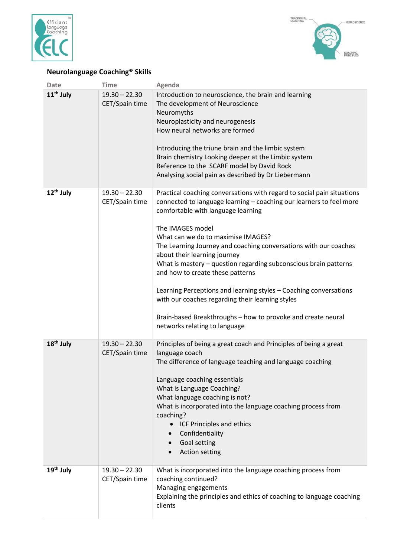



## **Neurolanguage Coaching® Skills**

| <b>Date</b>           | <b>Time</b>                       | Agenda                                                                                                                                                                                                                                                                                                                                                                                                                                                                                                                                                                                                                                                                              |
|-----------------------|-----------------------------------|-------------------------------------------------------------------------------------------------------------------------------------------------------------------------------------------------------------------------------------------------------------------------------------------------------------------------------------------------------------------------------------------------------------------------------------------------------------------------------------------------------------------------------------------------------------------------------------------------------------------------------------------------------------------------------------|
| $11th$ July           | $19.30 - 22.30$<br>CET/Spain time | Introduction to neuroscience, the brain and learning<br>The development of Neuroscience<br>Neuromyths<br>Neuroplasticity and neurogenesis<br>How neural networks are formed<br>Introducing the triune brain and the limbic system<br>Brain chemistry Looking deeper at the Limbic system<br>Reference to the SCARF model by David Rock<br>Analysing social pain as described by Dr Liebermann                                                                                                                                                                                                                                                                                       |
| $12th$ July           | $19.30 - 22.30$<br>CET/Spain time | Practical coaching conversations with regard to social pain situations<br>connected to language learning - coaching our learners to feel more<br>comfortable with language learning<br>The IMAGES model<br>What can we do to maximise IMAGES?<br>The Learning Journey and coaching conversations with our coaches<br>about their learning journey<br>What is mastery - question regarding subconscious brain patterns<br>and how to create these patterns<br>Learning Perceptions and learning styles - Coaching conversations<br>with our coaches regarding their learning styles<br>Brain-based Breakthroughs - how to provoke and create neural<br>networks relating to language |
| 18 <sup>th</sup> July | $19.30 - 22.30$<br>CET/Spain time | Principles of being a great coach and Principles of being a great<br>language coach<br>The difference of language teaching and language coaching<br>Language coaching essentials<br>What is Language Coaching?<br>What language coaching is not?<br>What is incorporated into the language coaching process from<br>coaching?<br>• ICF Principles and ethics<br>Confidentiality<br>Goal setting<br><b>Action setting</b>                                                                                                                                                                                                                                                            |
| 19 <sup>th</sup> July | $19.30 - 22.30$<br>CET/Spain time | What is incorporated into the language coaching process from<br>coaching continued?<br>Managing engagements<br>Explaining the principles and ethics of coaching to language coaching<br>clients                                                                                                                                                                                                                                                                                                                                                                                                                                                                                     |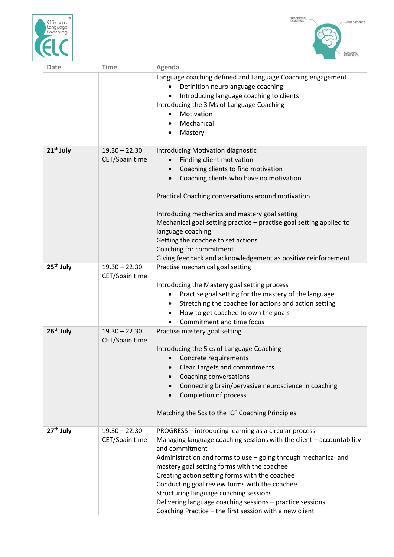



| <b>Date</b>           | <b>Time</b>                       | Agenda                                                                                                                                                                                                                                                                                                                                                                                                                                                                                                                                |
|-----------------------|-----------------------------------|---------------------------------------------------------------------------------------------------------------------------------------------------------------------------------------------------------------------------------------------------------------------------------------------------------------------------------------------------------------------------------------------------------------------------------------------------------------------------------------------------------------------------------------|
|                       |                                   | Language coaching defined and Language Coaching engagement<br>Definition neurolanguage coaching<br>Introducing language coaching to clients<br>Introducing the 3 Ms of Language Coaching<br>Motivation<br>Mechanical<br>Mastery                                                                                                                                                                                                                                                                                                       |
| $21st$ July           | $19.30 - 22.30$<br>CET/Spain time | <b>Introducing Motivation diagnostic</b><br>Finding client motivation<br>Coaching clients to find motivation<br>$\bullet$<br>Coaching clients who have no motivation<br>Practical Coaching conversations around motivation<br>Introducing mechanics and mastery goal setting<br>Mechanical goal setting practice - practise goal setting applied to<br>language coaching<br>Getting the coachee to set actions<br>Coaching for commitment<br>Giving feedback and acknowledgement as positive reinforcement                            |
| 25 <sup>th</sup> July | $19.30 - 22.30$<br>CET/Spain time | Practise mechanical goal setting<br>Introducing the Mastery goal setting process<br>Practise goal setting for the mastery of the language<br>Stretching the coachee for actions and action setting<br>How to get coachee to own the goals<br>Commitment and time focus                                                                                                                                                                                                                                                                |
| 26 <sup>th</sup> July | $19.30 - 22.30$<br>CET/Spain time | Practise mastery goal setting<br>Introducing the 5 cs of Language Coaching<br>• Concrete requirements<br><b>Clear Targets and commitments</b><br>Coaching conversations<br>Connecting brain/pervasive neuroscience in coaching<br>$\bullet$<br>Completion of process<br>$\bullet$<br>Matching the 5cs to the ICF Coaching Principles                                                                                                                                                                                                  |
| 27 <sup>th</sup> July | $19.30 - 22.30$<br>CET/Spain time | PROGRESS - introducing learning as a circular process<br>Managing language coaching sessions with the client - accountability<br>and commitment<br>Administration and forms to use - going through mechanical and<br>mastery goal setting forms with the coachee<br>Creating action setting forms with the coachee<br>Conducting goal review forms with the coachee<br>Structuring language coaching sessions<br>Delivering language coaching sessions - practice sessions<br>Coaching Practice - the first session with a new client |